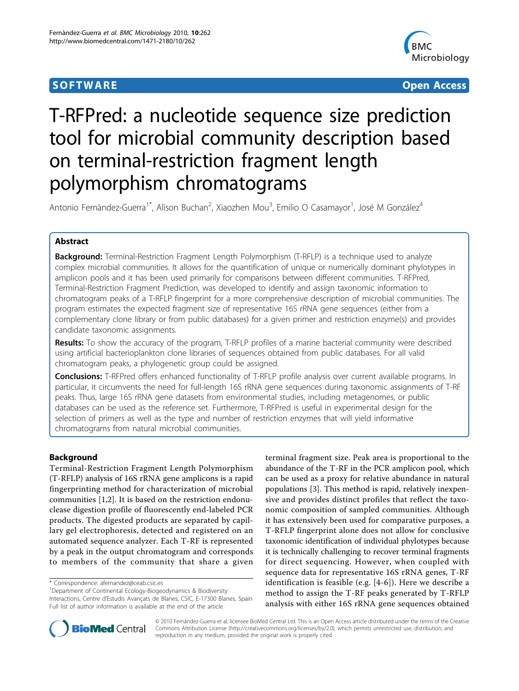## **SOFTWARE SOFTWARE** *CONSISTENTIAL CONSISTENCES*



# T-RFPred: a nucleotide sequence size prediction tool for microbial community description based on terminal-restriction fragment length polymorphism chromatograms

Antonio Fernàndez-Guerra<sup>1\*</sup>, Alison Buchan<sup>2</sup>, Xiaozhen Mou<sup>3</sup>, Emilio O Casamayor<sup>1</sup>, José M González<sup>4</sup>

## Abstract

**Background:** Terminal-Restriction Fragment Length Polymorphism (T-RFLP) is a technique used to analyze complex microbial communities. It allows for the quantification of unique or numerically dominant phylotypes in amplicon pools and it has been used primarily for comparisons between different communities. T-RFPred, Terminal-Restriction Fragment Prediction, was developed to identify and assign taxonomic information to chromatogram peaks of a T-RFLP fingerprint for a more comprehensive description of microbial communities. The program estimates the expected fragment size of representative 16S rRNA gene sequences (either from a complementary clone library or from public databases) for a given primer and restriction enzyme(s) and provides candidate taxonomic assignments.

Results: To show the accuracy of the program, T-RFLP profiles of a marine bacterial community were described using artificial bacterioplankton clone libraries of sequences obtained from public databases. For all valid chromatogram peaks, a phylogenetic group could be assigned.

Conclusions: T-RFPred offers enhanced functionality of T-RFLP profile analysis over current available programs. In particular, it circumvents the need for full-length 16S rRNA gene sequences during taxonomic assignments of T-RF peaks. Thus, large 16S rRNA gene datasets from environmental studies, including metagenomes, or public databases can be used as the reference set. Furthermore, T-RFPred is useful in experimental design for the selection of primers as well as the type and number of restriction enzymes that will yield informative chromatograms from natural microbial communities.

## Background

Terminal-Restriction Fragment Length Polymorphism (T-RFLP) analysis of 16S rRNA gene amplicons is a rapid fingerprinting method for characterization of microbial communities [\[1,2](#page-5-0)]. It is based on the restriction endonuclease digestion profile of fluorescently end-labeled PCR products. The digested products are separated by capillary gel electrophoresis, detected and registered on an automated sequence analyzer. Each T-RF is represented by a peak in the output chromatogram and corresponds to members of the community that share a given

<sup>1</sup>Department of Continental Ecology-Biogeodynamics & Biodiversity Interactions, Centre d'Estudis Avançats de Blanes, CSIC, E-17300 Blanes, Spain Full list of author information is available at the end of the article

terminal fragment size. Peak area is proportional to the abundance of the T-RF in the PCR amplicon pool, which can be used as a proxy for relative abundance in natural populations [[3\]](#page-5-0). This method is rapid, relatively inexpensive and provides distinct profiles that reflect the taxonomic composition of sampled communities. Although it has extensively been used for comparative purposes, a T-RFLP fingerprint alone does not allow for conclusive taxonomic identification of individual phylotypes because it is technically challenging to recover terminal fragments for direct sequencing. However, when coupled with sequence data for representative 16S rRNA genes, T-RF identification is feasible (e.g. [[4](#page-5-0)-[6\]](#page-5-0)). Here we describe a method to assign the T-RF peaks generated by T-RFLP analysis with either 16S rRNA gene sequences obtained



© 2010 Fernàndez-Guerra et al; licensee BioMed Central Ltd. This is an Open Access article distributed under the terms of the Creative Commons Attribution License [\(http://creativecommons.org/licenses/by/2.0](http://creativecommons.org/licenses/by/2.0)), which permits unrestricted use, distribution, and reproduction in any medium, provided the original work is properly cited.

<sup>\*</sup> Correspondence: [afernandez@ceab.csic.es](mailto:afernandez@ceab.csic.es)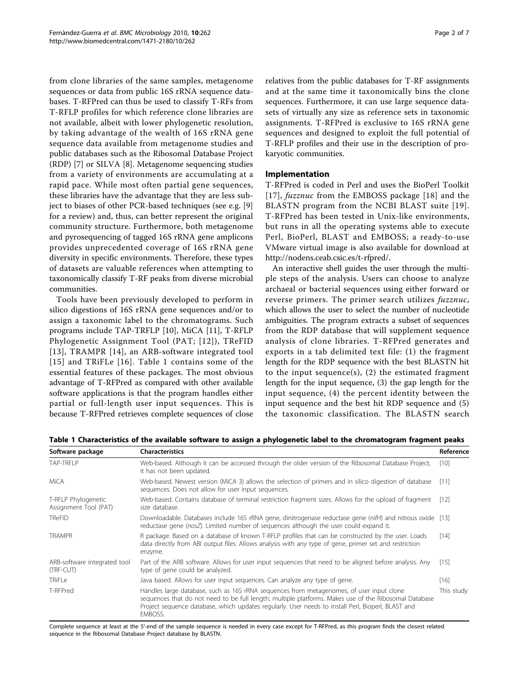from clone libraries of the same samples, metagenome sequences or data from public 16S rRNA sequence databases. T-RFPred can thus be used to classify T-RFs from T-RFLP profiles for which reference clone libraries are not available, albeit with lower phylogenetic resolution, by taking advantage of the wealth of 16S rRNA gene sequence data available from metagenome studies and public databases such as the Ribosomal Database Project (RDP) [[7\]](#page-5-0) or SILVA [\[8\]](#page-5-0). Metagenome sequencing studies from a variety of environments are accumulating at a rapid pace. While most often partial gene sequences, these libraries have the advantage that they are less subject to biases of other PCR-based techniques (see e.g. [\[9](#page-5-0)] for a review) and, thus, can better represent the original community structure. Furthermore, both metagenome and pyrosequencing of tagged 16S rRNA gene amplicons provides unprecedented coverage of 16S rRNA gene diversity in specific environments. Therefore, these types of datasets are valuable references when attempting to taxonomically classify T-RF peaks from diverse microbial communities.

Tools have been previously developed to perform in silico digestions of 16S rRNA gene sequences and/or to assign a taxonomic label to the chromatograms. Such programs include TAP-TRFLP [[10\]](#page-5-0), MiCA [[11\]](#page-5-0), T-RFLP Phylogenetic Assignment Tool (PAT; [[12\]](#page-5-0)), TReFID [[13\]](#page-5-0), TRAMPR [[14](#page-6-0)], an ARB-software integrated tool [[15\]](#page-6-0) and TRiFLe [[16\]](#page-6-0). Table 1 contains some of the essential features of these packages. The most obvious advantage of T-RFPred as compared with other available software applications is that the program handles either partial or full-length user input sequences. This is because T-RFPred retrieves complete sequences of close relatives from the public databases for T-RF assignments and at the same time it taxonomically bins the clone sequences. Furthermore, it can use large sequence datasets of virtually any size as reference sets in taxonomic assignments. T-RFPred is exclusive to 16S rRNA gene sequences and designed to exploit the full potential of T-RFLP profiles and their use in the description of prokaryotic communities.

## Implementation

T-RFPred is coded in Perl and uses the BioPerl Toolkit [[17](#page-6-0)], fuzznuc from the EMBOSS package [[18](#page-6-0)] and the BLASTN program from the NCBI BLAST suite [\[19\]](#page-6-0). T-RFPred has been tested in Unix-like environments, but runs in all the operating systems able to execute Perl, BioPerl, BLAST and EMBOSS; a ready-to-use VMware virtual image is also available for download at <http://nodens.ceab.csic.es/t-rfpred/>.

An interactive shell guides the user through the multiple steps of the analysis. Users can choose to analyze archaeal or bacterial sequences using either forward or reverse primers. The primer search utilizes *fuzznuc*, which allows the user to select the number of nucleotide ambiguities. The program extracts a subset of sequences from the RDP database that will supplement sequence analysis of clone libraries. T-RFPred generates and exports in a tab delimited text file: (1) the fragment length for the RDP sequence with the best BLASTN hit to the input sequence $(s)$ ,  $(2)$  the estimated fragment length for the input sequence, (3) the gap length for the input sequence, (4) the percent identity between the input sequence and the best hit RDP sequence and (5) the taxonomic classification. The BLASTN search

| Software package                             | <b>Characteristics</b>                                                                                                                                                                                                                                                                                             | Reference  |
|----------------------------------------------|--------------------------------------------------------------------------------------------------------------------------------------------------------------------------------------------------------------------------------------------------------------------------------------------------------------------|------------|
| TAP-TRFLP                                    | Web-based. Although it can be accessed through the older version of the Ribosomal Database Project,<br>it has not been updated.                                                                                                                                                                                    |            |
| MiCA                                         | Web-based. Newest version (MiCA 3) allows the selection of primers and in silico digestion of database<br>sequences. Does not allow for user input sequences.                                                                                                                                                      | $[11]$     |
| T-RFLP Phylogenetic<br>Assignment Tool (PAT) | Web-based. Contains database of terminal restriction fragment sizes. Allows for the upload of fragment<br>size database.                                                                                                                                                                                           | $[12]$     |
| <b>TReFID</b>                                | Downloadable. Databases include 16S rRNA gene, dinitrogenase reductase gene (nifH) and nitrous oxide [13]<br>reductase gene (nosZ). Limited number of sequences although the user could expand it.                                                                                                                 |            |
| <b>TRAMPR</b>                                | R package. Based on a database of known T-RFLP profiles that can be constructed by the user. Loads<br>data directly from ABI output files. Allows analysis with any type of gene, primer set and restriction<br>enzyme.                                                                                            | [14]       |
| ARB-software integrated tool<br>(TRF-CUT)    | Part of the ARB software. Allows for user input sequences that need to be aligned before analysis. Any<br>type of gene could be analyzed.                                                                                                                                                                          | [15]       |
| TRiFLe                                       | Java based. Allows for user input sequences. Can analyze any type of gene.                                                                                                                                                                                                                                         | [16]       |
| T-RFPred                                     | Handles large database, such as 16S rRNA sequences from metagenomes, of user input clone<br>sequences that do not need to be full length; multiple platforms. Makes use of the Ribosomal Database<br>Project sequence database, which updates regularly. User needs to install Perl, Bioperl, BLAST and<br>EMBOSS. | This study |

Table 1 Characteristics of the available software to assign a phylogenetic label to the chromatogram fragment peaks

Complete sequence at least at the 5'-end of the sample sequence is needed in every case except for T-RFPred, as this program finds the closest related sequence in the Ribosomal Database Project database by BLASTN.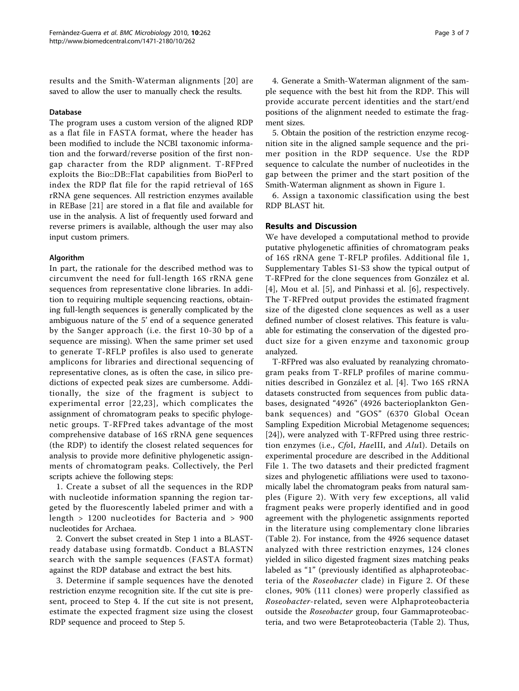results and the Smith-Waterman alignments [[20](#page-6-0)] are saved to allow the user to manually check the results.

#### Database

The program uses a custom version of the aligned RDP as a flat file in FASTA format, where the header has been modified to include the NCBI taxonomic information and the forward/reverse position of the first nongap character from the RDP alignment. T-RFPred exploits the Bio::DB::Flat capabilities from BioPerl to index the RDP flat file for the rapid retrieval of 16S rRNA gene sequences. All restriction enzymes available in REBase [[21\]](#page-6-0) are stored in a flat file and available for use in the analysis. A list of frequently used forward and reverse primers is available, although the user may also input custom primers.

#### Algorithm

In part, the rationale for the described method was to circumvent the need for full-length 16S rRNA gene sequences from representative clone libraries. In addition to requiring multiple sequencing reactions, obtaining full-length sequences is generally complicated by the ambiguous nature of the 5' end of a sequence generated by the Sanger approach (i.e. the first 10-30 bp of a sequence are missing). When the same primer set used to generate T-RFLP profiles is also used to generate amplicons for libraries and directional sequencing of representative clones, as is often the case, in silico predictions of expected peak sizes are cumbersome. Additionally, the size of the fragment is subject to experimental error [[22](#page-6-0),[23\]](#page-6-0), which complicates the assignment of chromatogram peaks to specific phylogenetic groups. T-RFPred takes advantage of the most comprehensive database of 16S rRNA gene sequences (the RDP) to identify the closest related sequences for analysis to provide more definitive phylogenetic assignments of chromatogram peaks. Collectively, the Perl scripts achieve the following steps:

1. Create a subset of all the sequences in the RDP with nucleotide information spanning the region targeted by the fluorescently labeled primer and with a length > 1200 nucleotides for Bacteria and > 900 nucleotides for Archaea.

2. Convert the subset created in Step 1 into a BLASTready database using formatdb. Conduct a BLASTN search with the sample sequences (FASTA format) against the RDP database and extract the best hits.

3. Determine if sample sequences have the denoted restriction enzyme recognition site. If the cut site is present, proceed to Step 4. If the cut site is not present, estimate the expected fragment size using the closest RDP sequence and proceed to Step 5.

4. Generate a Smith-Waterman alignment of the sample sequence with the best hit from the RDP. This will provide accurate percent identities and the start/end positions of the alignment needed to estimate the fragment sizes.

5. Obtain the position of the restriction enzyme recognition site in the aligned sample sequence and the primer position in the RDP sequence. Use the RDP sequence to calculate the number of nucleotides in the gap between the primer and the start position of the Smith-Waterman alignment as shown in Figure [1.](#page-3-0)

6. Assign a taxonomic classification using the best RDP BLAST hit.

#### Results and Discussion

We have developed a computational method to provide putative phylogenetic affinities of chromatogram peaks of 16S rRNA gene T-RFLP profiles. Additional file [1](#page-5-0), Supplementary Tables S1-S3 show the typical output of T-RFPred for the clone sequences from González et al. [[4](#page-5-0)], Mou et al. [[5\]](#page-5-0), and Pinhassi et al. [[6\]](#page-5-0), respectively. The T-RFPred output provides the estimated fragment size of the digested clone sequences as well as a user defined number of closest relatives. This feature is valuable for estimating the conservation of the digested product size for a given enzyme and taxonomic group analyzed.

T-RFPred was also evaluated by reanalyzing chromatogram peaks from T-RFLP profiles of marine communities described in González et al. [[4](#page-5-0)]. Two 16S rRNA datasets constructed from sequences from public databases, designated "4926" (4926 bacterioplankton Genbank sequences) and "GOS" (6370 Global Ocean Sampling Expedition Microbial Metagenome sequences; [[24\]](#page-6-0)), were analyzed with T-RFPred using three restriction enzymes (i.e., CfoI, HaeIII, and AluI). Details on experimental procedure are described in the Additional File [1](#page-5-0). The two datasets and their predicted fragment sizes and phylogenetic affiliations were used to taxonomically label the chromatogram peaks from natural samples (Figure [2](#page-4-0)). With very few exceptions, all valid fragment peaks were properly identified and in good agreement with the phylogenetic assignments reported in the literature using complementary clone libraries (Table [2\)](#page-4-0). For instance, from the 4926 sequence dataset analyzed with three restriction enzymes, 124 clones yielded in silico digested fragment sizes matching peaks labeled as "1" (previously identified as alphaproteobacteria of the Roseobacter clade) in Figure [2.](#page-4-0) Of these clones, 90% (111 clones) were properly classified as Roseobacter-related, seven were Alphaproteobacteria outside the Roseobacter group, four Gammaproteobacteria, and two were Betaproteobacteria (Table [2](#page-4-0)). Thus,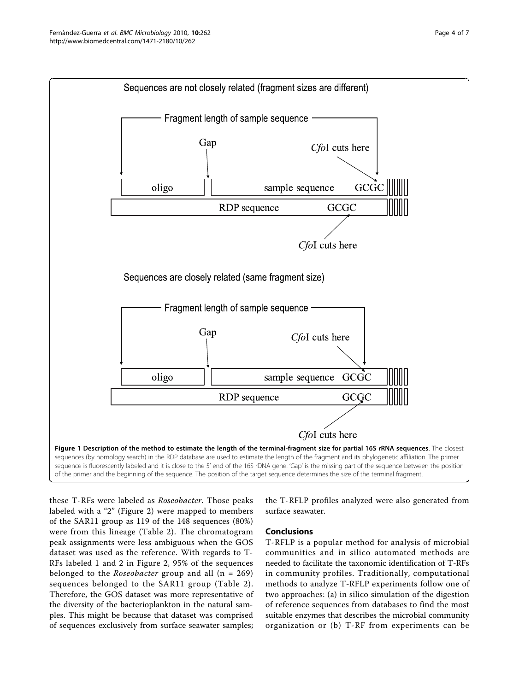<span id="page-3-0"></span>

these T-RFs were labeled as Roseobacter. Those peaks labeled with a "2" (Figure [2](#page-4-0)) were mapped to members of the SAR11 group as 119 of the 148 sequences (80%) were from this lineage (Table [2](#page-4-0)). The chromatogram peak assignments were less ambiguous when the GOS dataset was used as the reference. With regards to T-RFs labeled 1 and 2 in Figure [2,](#page-4-0) 95% of the sequences belonged to the *Roseobacter* group and all  $(n = 269)$ sequences belonged to the SAR11 group (Table [2\)](#page-4-0). Therefore, the GOS dataset was more representative of the diversity of the bacterioplankton in the natural samples. This might be because that dataset was comprised of sequences exclusively from surface seawater samples;

the T-RFLP profiles analyzed were also generated from surface seawater.

## Conclusions

T-RFLP is a popular method for analysis of microbial communities and in silico automated methods are needed to facilitate the taxonomic identification of T-RFs in community profiles. Traditionally, computational methods to analyze T-RFLP experiments follow one of two approaches: (a) in silico simulation of the digestion of reference sequences from databases to find the most suitable enzymes that describes the microbial community organization or (b) T-RF from experiments can be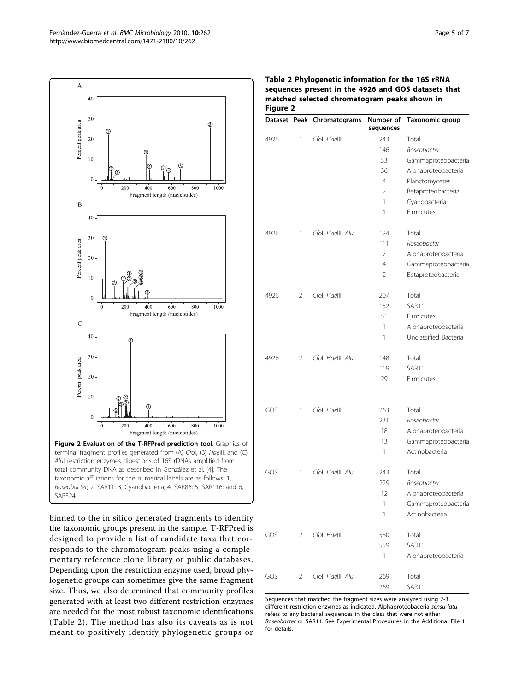<span id="page-4-0"></span>

binned to the in silico generated fragments to identify the taxonomic groups present in the sample. T-RFPred is designed to provide a list of candidate taxa that corresponds to the chromatogram peaks using a complementary reference clone library or public databases. Depending upon the restriction enzyme used, broad phylogenetic groups can sometimes give the same fragment size. Thus, we also determined that community profiles generated with at least two different restriction enzymes are needed for the most robust taxonomic identifications (Table 2). The method has also its caveats as is not meant to positively identify phylogenetic groups or

| Table 2 Phylogenetic information for the 16S rRNA   |
|-----------------------------------------------------|
| sequences present in the 4926 and GOS datasets that |
| matched selected chromatogram peaks shown in        |
| <b>Figure 2</b>                                     |

|      |   | Dataset Peak Chromatograms | Number of<br>sequences | Taxonomic group       |
|------|---|----------------------------|------------------------|-----------------------|
| 4926 | 1 | Cfol, Haelll               | 243                    | Total                 |
|      |   |                            | 146                    | Roseobacter           |
|      |   |                            | 53                     | Gammaproteobacteria   |
|      |   |                            | 36                     | Alphaproteobacteria   |
|      |   |                            | $\overline{4}$         | Planctomycetes        |
|      |   |                            | 2                      | Betaproteobacteria    |
|      |   |                            | 1                      | Cyanobacteria         |
|      |   |                            | 1                      | Firmicutes            |
| 4926 | 1 | Cfol, Haelll, Alul         | 124                    | Total                 |
|      |   |                            | 111                    | Roseobacter           |
|      |   |                            | 7                      | Alphaproteobacteria   |
|      |   |                            | $\overline{4}$         | Gammaproteobacteria   |
|      |   |                            | 2                      | Betaproteobacteria    |
| 4926 | 2 | Cfol, Haelll               | 207                    | Total                 |
|      |   |                            | 152                    | SAR11                 |
|      |   |                            | 51                     | Firmicutes            |
|      |   |                            | 1                      | Alphaproteobacteria   |
|      |   |                            | 1                      | Unclassified Bacteria |
| 4926 | 2 | Cfol, Haelll, Alul         | 148                    | Total                 |
|      |   |                            | 119                    | SAR11                 |
|      |   |                            | 29                     | Firmicutes            |
|      |   |                            |                        |                       |
| GOS  | 1 | Cfol, Haelll               | 263                    | Total                 |
|      |   |                            | 231                    | Roseobacter           |
|      |   |                            | 18                     | Alphaproteobacteria   |
|      |   |                            | 13                     | Gammaproteobacteria   |
|      |   |                            | 1                      | Actinobacteria        |
| GOS  | 1 | Cfol, Haelll, Alul         | 243                    | Total                 |
|      |   |                            | 229                    | Roseobacter           |
|      |   |                            | 12                     | Alphaproteobacteria   |
|      |   |                            | 1                      | Gammaproteobacteria   |
|      |   |                            | 1                      | Actinobacteria        |
| GOS  | 2 | Cfol, Haelll               | 560                    | Total                 |
|      |   |                            | 559                    | SAR11                 |
|      |   |                            | 1                      | Alphaproteobacteria   |
| GOS  | 2 | Cfol, Haelll, Alul         | 269                    | Total                 |
|      |   |                            | 269                    | SAR11                 |

Sequences that matched the fragment sizes were analyzed using 2-3 different restriction enzymes as indicated. Alphaproteobaceria sensu latu refers to any bacterial sequences in the class that were not either Roseobacter or SAR11. See Experimental Procedures in the Additional File [1](#page-5-0) for details.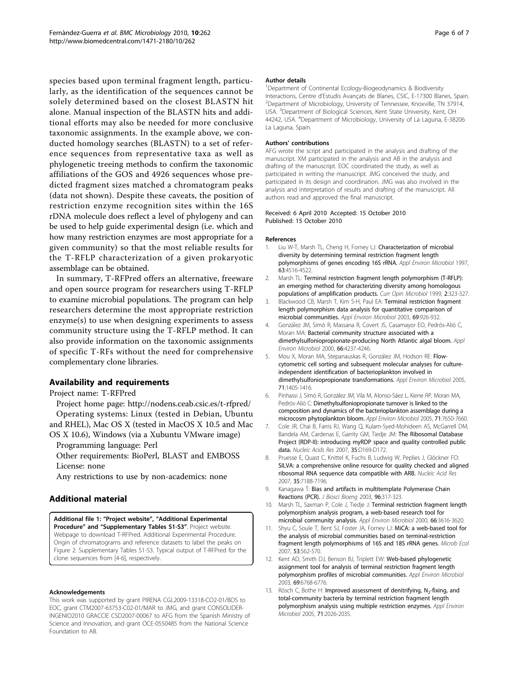<span id="page-5-0"></span>species based upon terminal fragment length, particularly, as the identification of the sequences cannot be solely determined based on the closest BLASTN hit alone. Manual inspection of the BLASTN hits and additional efforts may also be needed for more conclusive taxonomic assignments. In the example above, we conducted homology searches (BLASTN) to a set of reference sequences from representative taxa as well as phylogenetic treeing methods to confirm the taxonomic affiliations of the GOS and 4926 sequences whose predicted fragment sizes matched a chromatogram peaks (data not shown). Despite these caveats, the position of restriction enzyme recognition sites within the 16S rDNA molecule does reflect a level of phylogeny and can be used to help guide experimental design (i.e. which and how many restriction enzymes are most appropriate for a given community) so that the most reliable results for the T-RFLP characterization of a given prokaryotic assemblage can be obtained.

In summary, T-RFPred offers an alternative, freeware and open source program for researchers using T-RFLP to examine microbial populations. The program can help researchers determine the most appropriate restriction enzyme(s) to use when designing experiments to assess community structure using the T-RFLP method. It can also provide information on the taxonomic assignments of specific T-RFs without the need for comprehensive complementary clone libraries.

## Availability and requirements

Project name: T-RFPred

Project home page:<http://nodens.ceab.csic.es/t-rfpred/> Operating systems: Linux (tested in Debian, Ubuntu and RHEL), Mac OS X (tested in MacOS X 10.5 and Mac OS X 10.6), Windows (via a Xubuntu VMware image)

Programming language: Perl

Other requirements: BioPerl, BLAST and EMBOSS License: none

Any restrictions to use by non-academics: none

## Additional material

[Additional file 1:](http://www.biomedcentral.com/content/supplementary/1471-2180-10-262-S1.pdf) "Project website", "Additional Experimental Procedure" and "Supplementary Tables S1-S3". Project website. Webpage to download T-RFPred. Additional Experimental Procedure. Origin of chromatograms and reference datasets to label the peaks on Figure [2.](#page-4-0) Supplementary Tables S1-S3. Typical output of T-RFPred for the clone sequences from [4-6], respectively.

#### Acknowledgements

This work was supported by grant PIRENA CGL2009-13318-CO2-01/BOS to EOC, grant CTM2007-63753-C02-01/MAR to JMG, and grant CONSOLIDER-INGENIO2010 GRACCIE CSD2007-00067 to AFG from the Spanish Ministry of Science and Innovation, and grant OCE-0550485 from the National Science Foundation to AB.

#### Author details

<sup>1</sup>Department of Continental Ecology-Biogeodynamics & Biodiversity Interactions, Centre d'Estudis Avançats de Blanes, CSIC, E-17300 Blanes, Spain. <sup>2</sup> <sup>2</sup>Department of Microbiology, University of Tennessee, Knoxville, TN 37914, USA. <sup>3</sup>Department of Biological Sciences, Kent State University, Kent, OH 44242, USA. <sup>4</sup>Department of Microbiology, University of La Laguna, E-38206 La Laguna, Spain.

#### Authors' contributions

AFG wrote the script and participated in the analysis and drafting of the manuscript. XM participated in the analysis and AB in the analysis and drafting of the manuscript. EOC coordinated the study, as well as participated in writing the manuscript. JMG conceived the study, and participated in its design and coordination. JMG was also involved in the analysis and interpretation of results and drafting of the manuscript. All authors read and approved the final manuscript.

#### Received: 6 April 2010 Accepted: 15 October 2010 Published: 15 October 2010

#### References

- Liu W-T, Marsh TL, Cheng H, Forney LJ: [Characterization of microbial](http://www.ncbi.nlm.nih.gov/pubmed/9361437?dopt=Abstract) [diversity by determining terminal restriction fragment length](http://www.ncbi.nlm.nih.gov/pubmed/9361437?dopt=Abstract) [polymorphisms of genes encoding 16S rRNA.](http://www.ncbi.nlm.nih.gov/pubmed/9361437?dopt=Abstract) Appl Environ Microbiol 1997, 63:4516-4522.
- 2. Marsh TL: [Terminal restriction fragment length polymorphism \(T-RFLP\):](http://www.ncbi.nlm.nih.gov/pubmed/10383864?dopt=Abstract) [an emerging method for characterizing diversity among homologous](http://www.ncbi.nlm.nih.gov/pubmed/10383864?dopt=Abstract) [populations of amplification products.](http://www.ncbi.nlm.nih.gov/pubmed/10383864?dopt=Abstract) Curr Opin Microbiol 1999, 2:323-327.
- Blackwood CB, Marsh T, Kim S-H, Paul EA: [Terminal restriction fragment](http://www.ncbi.nlm.nih.gov/pubmed/12571013?dopt=Abstract) [length polymorphism data analysis for quantitative comparison of](http://www.ncbi.nlm.nih.gov/pubmed/12571013?dopt=Abstract) [microbial communities.](http://www.ncbi.nlm.nih.gov/pubmed/12571013?dopt=Abstract) Appl Environ Microbiol 2003, 69:926-932.
- 4. González JM, Simó R, Massana R, Covert JS, Casamayor EO, Pedrós-Alió C, Moran MA: [Bacterial community structure associated with a](http://www.ncbi.nlm.nih.gov/pubmed/11010865?dopt=Abstract) [dimethylsulfoniopropionate-producing North Atlantic algal bloom.](http://www.ncbi.nlm.nih.gov/pubmed/11010865?dopt=Abstract) Appl Environ Microbiol 2000, 66:4237-4246.
- 5. Mou X, Moran MA, Stepanauskas R, González JM, Hodson RE: [Flow](http://www.ncbi.nlm.nih.gov/pubmed/15746343?dopt=Abstract)[cytometric cell sorting and subsequent molecular analyses for culture](http://www.ncbi.nlm.nih.gov/pubmed/15746343?dopt=Abstract)[independent identification of bacterioplankton involved in](http://www.ncbi.nlm.nih.gov/pubmed/15746343?dopt=Abstract) [dimethylsulfoniopropionate transformations.](http://www.ncbi.nlm.nih.gov/pubmed/15746343?dopt=Abstract) Appl Environ Microbiol 2005, 71:1405-1416.
- 6. Pinhassi J, Simó R, González JM, Vila M, Alonso-Sáez L, Kiene RP, Moran MA, Pedrós-Alió C: [Dimethylsulfoniopropionate turnover is linked to the](http://www.ncbi.nlm.nih.gov/pubmed/16332737?dopt=Abstract) [composition and dynamics of the bacterioplankton assemblage during a](http://www.ncbi.nlm.nih.gov/pubmed/16332737?dopt=Abstract) [microcosm phytoplankton bloom.](http://www.ncbi.nlm.nih.gov/pubmed/16332737?dopt=Abstract) Appl Environ Microbiol 2005, 71:7650-7660.
- 7. Cole JR, Chai B, Farris RJ, Wang Q, Kulam-Syed-Mohideen AS, McGarrell DM, Bandela AM, Cardenas E, Garrity GM, Tiedje JM: [The Ribosomal Database](http://www.ncbi.nlm.nih.gov/pubmed/17090583?dopt=Abstract) [Project \(RDP-II\): introducing myRDP space and quality controlled public](http://www.ncbi.nlm.nih.gov/pubmed/17090583?dopt=Abstract) [data.](http://www.ncbi.nlm.nih.gov/pubmed/17090583?dopt=Abstract) Nucleic Acids Res 2007, 35:D169-D172.
- 8. Pruesse E, Quast C, Knittel K, Fuchs B, Ludwig W, Peplies J, Glöckner FO: [SILVA: a comprehensive online resource for quality checked and aligned](http://www.ncbi.nlm.nih.gov/pubmed/17947321?dopt=Abstract) [ribosomal RNA sequence data compatible with ARB.](http://www.ncbi.nlm.nih.gov/pubmed/17947321?dopt=Abstract) Nucleic Acid Res 2007, 35:7188-7196.
- 9. Kanagawa T: [Bias and artifacts in multitemplate Polymerase Chain](http://www.ncbi.nlm.nih.gov/pubmed/16233530?dopt=Abstract) [Reactions \(PCR\).](http://www.ncbi.nlm.nih.gov/pubmed/16233530?dopt=Abstract) J Biosci Bioeng 2003, 96:317-323.
- 10. Marsh TL, Saxman P, Cole J, Tiedje J: [Terminal restriction fragment length](http://www.ncbi.nlm.nih.gov/pubmed/10919828?dopt=Abstract) [polymorphism analysis program, a web-based research tool for](http://www.ncbi.nlm.nih.gov/pubmed/10919828?dopt=Abstract) [microbial community analysis.](http://www.ncbi.nlm.nih.gov/pubmed/10919828?dopt=Abstract) Appl Environ Microbiol 2000, 66:3616-3620.
- 11. Shyu C, Soule T, Bent SJ, Foster JA, Forney LJ: [MiCA: a web-based tool for](http://www.ncbi.nlm.nih.gov/pubmed/17406775?dopt=Abstract) [the analysis of microbial communities based on terminal-restriction](http://www.ncbi.nlm.nih.gov/pubmed/17406775?dopt=Abstract) [fragment length polymorphisms of 16S and 18S rRNA genes.](http://www.ncbi.nlm.nih.gov/pubmed/17406775?dopt=Abstract) Microb Ecol 2007, 53:562-570.
- 12. Kent AD, Smith DJ, Benson BJ, Triplett EW: [Web-based phylogenetic](http://www.ncbi.nlm.nih.gov/pubmed/14602639?dopt=Abstract) [assignment tool for analysis of terminal restriction fragment length](http://www.ncbi.nlm.nih.gov/pubmed/14602639?dopt=Abstract) [polymorphism profiles of microbial communities.](http://www.ncbi.nlm.nih.gov/pubmed/14602639?dopt=Abstract) Appl Environ Microbiol 2003, 69:6768-6776.
- 13. Rösch C, Bothe H: Improved assessment of denitrifying,  $N_2$ -fixing, and [total-community bacteria by terminal restriction fragment length](http://www.ncbi.nlm.nih.gov/pubmed/15812035?dopt=Abstract) [polymorphism analysis using multiple restriction enzymes.](http://www.ncbi.nlm.nih.gov/pubmed/15812035?dopt=Abstract) Appl Environ Microbiol 2005, 71:2026-2035.